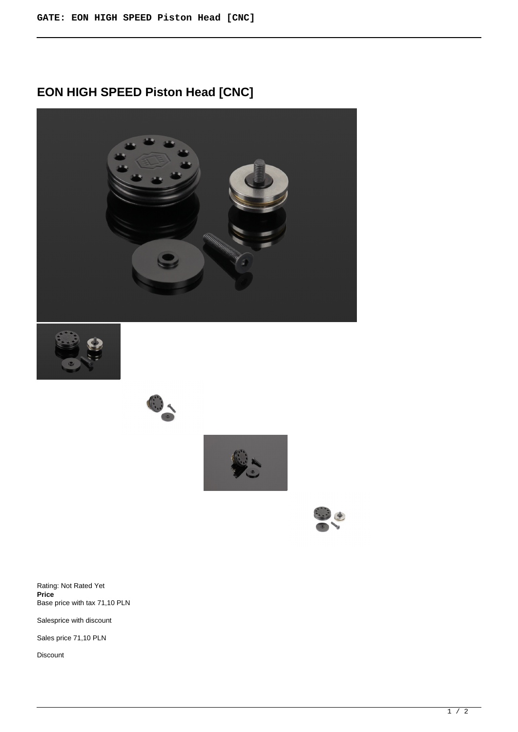# **EON HIGH SPEED Piston Head [CNC]**











Rating: Not Rated Yet **Price**  Base price with tax 71,10 PLN

Salesprice with discount

Sales price 71,10 PLN

Discount